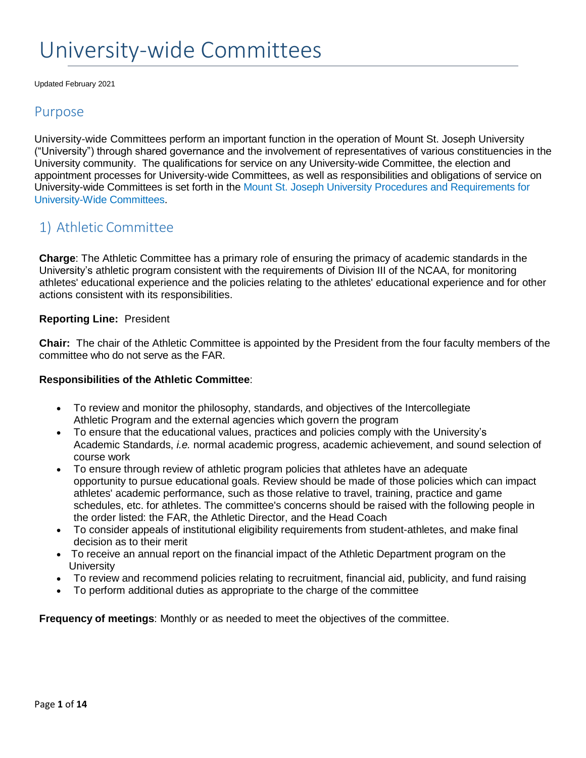# University-wide Committees

Updated February 2021

### Purpose

University-wide Committees perform an important function in the operation of Mount St. Joseph University ("University") through shared governance and the involvement of representatives of various constituencies in the University community. The qualifications for service on any University-wide Committee, the election and appointment processes for University-wide Committees, as well as responsibilities and obligations of service on University-wide Committees is set forth in the Mount St. Joseph University Procedures and Requirements for University-Wide Committees.

# 1) Athletic Committee

**Charge**: The Athletic Committee has a primary role of ensuring the primacy of academic standards in the University's athletic program consistent with the requirements of Division III of the NCAA, for monitoring athletes' educational experience and the policies relating to the athletes' educational experience and for other actions consistent with its responsibilities.

#### **Reporting Line:** President

**Chair:** The chair of the Athletic Committee is appointed by the President from the four faculty members of the committee who do not serve as the FAR.

#### **Responsibilities of the Athletic Committee**:

- To review and monitor the philosophy, standards, and objectives of the Intercollegiate Athletic Program and the external agencies which govern the program
- To ensure that the educational values, practices and policies comply with the University's Academic Standards, *i.e.* normal academic progress, academic achievement, and sound selection of course work
- To ensure through review of athletic program policies that athletes have an adequate opportunity to pursue educational goals. Review should be made of those policies which can impact athletes' academic performance, such as those relative to travel, training, practice and game schedules, etc. for athletes. The committee's concerns should be raised with the following people in the order listed: the FAR, the Athletic Director, and the Head Coach
- To consider appeals of institutional eligibility requirements from student-athletes, and make final decision as to their merit
- To receive an annual report on the financial impact of the Athletic Department program on the **University**
- To review and recommend policies relating to recruitment, financial aid, publicity, and fund raising
- To perform additional duties as appropriate to the charge of the committee

**Frequency of meetings**: Monthly or as needed to meet the objectives of the committee.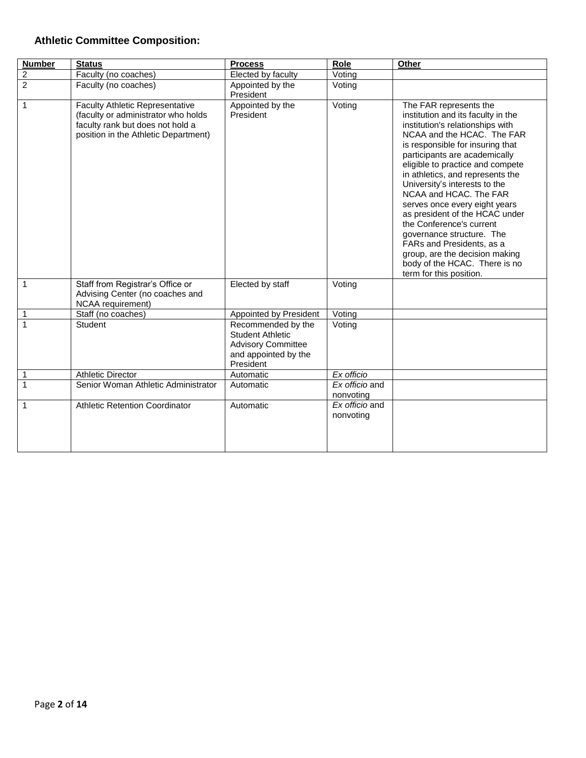### **Athletic Committee Composition:**

| <b>Number</b>           | <b>Status</b>                                                                                                                                             | <b>Process</b>                                                                                                  | Role                        | Other                                                                                                                                                                                                                                                                                                                                                                                                                                                                                                                                                                                         |
|-------------------------|-----------------------------------------------------------------------------------------------------------------------------------------------------------|-----------------------------------------------------------------------------------------------------------------|-----------------------------|-----------------------------------------------------------------------------------------------------------------------------------------------------------------------------------------------------------------------------------------------------------------------------------------------------------------------------------------------------------------------------------------------------------------------------------------------------------------------------------------------------------------------------------------------------------------------------------------------|
| $\overline{\mathbf{c}}$ | Faculty (no coaches)                                                                                                                                      | Elected by faculty                                                                                              | $\overline{V}$ oting        |                                                                                                                                                                                                                                                                                                                                                                                                                                                                                                                                                                                               |
| $\overline{2}$          | Faculty (no coaches)                                                                                                                                      | Appointed by the<br>President                                                                                   | Voting                      |                                                                                                                                                                                                                                                                                                                                                                                                                                                                                                                                                                                               |
| 1                       | <b>Faculty Athletic Representative</b><br>(faculty or administrator who holds<br>faculty rank but does not hold a<br>position in the Athletic Department) | Appointed by the<br>President                                                                                   | Voting                      | The FAR represents the<br>institution and its faculty in the<br>institution's relationships with<br>NCAA and the HCAC. The FAR<br>is responsible for insuring that<br>participants are academically<br>eligible to practice and compete<br>in athletics, and represents the<br>University's interests to the<br>NCAA and HCAC. The FAR<br>serves once every eight years<br>as president of the HCAC under<br>the Conference's current<br>governance structure. The<br>FARs and Presidents, as a<br>group, are the decision making<br>body of the HCAC. There is no<br>term for this position. |
| 1                       | Staff from Registrar's Office or<br>Advising Center (no coaches and<br>NCAA requirement)                                                                  | Elected by staff                                                                                                | Voting                      |                                                                                                                                                                                                                                                                                                                                                                                                                                                                                                                                                                                               |
| 1                       | Staff (no coaches)                                                                                                                                        | <b>Appointed by President</b>                                                                                   | Voting                      |                                                                                                                                                                                                                                                                                                                                                                                                                                                                                                                                                                                               |
| $\mathbf{1}$            | Student                                                                                                                                                   | Recommended by the<br><b>Student Athletic</b><br><b>Advisory Committee</b><br>and appointed by the<br>President | Voting                      |                                                                                                                                                                                                                                                                                                                                                                                                                                                                                                                                                                                               |
| 1                       | <b>Athletic Director</b>                                                                                                                                  | Automatic                                                                                                       | Ex officio                  |                                                                                                                                                                                                                                                                                                                                                                                                                                                                                                                                                                                               |
| $\mathbf{1}$            | Senior Woman Athletic Administrator                                                                                                                       | Automatic                                                                                                       | Ex officio and<br>nonvoting |                                                                                                                                                                                                                                                                                                                                                                                                                                                                                                                                                                                               |
| 1                       | <b>Athletic Retention Coordinator</b>                                                                                                                     | Automatic                                                                                                       | Ex officio and<br>nonvoting |                                                                                                                                                                                                                                                                                                                                                                                                                                                                                                                                                                                               |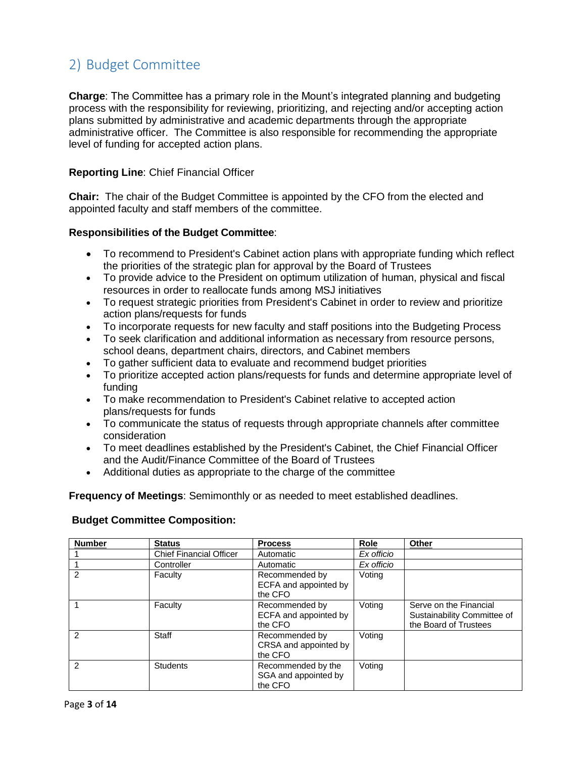# 2) Budget Committee

**Charge**: The Committee has a primary role in the Mount's integrated planning and budgeting process with the responsibility for reviewing, prioritizing, and rejecting and/or accepting action plans submitted by administrative and academic departments through the appropriate administrative officer. The Committee is also responsible for recommending the appropriate level of funding for accepted action plans.

#### **Reporting Line**: Chief Financial Officer

**Chair:** The chair of the Budget Committee is appointed by the CFO from the elected and appointed faculty and staff members of the committee.

#### **Responsibilities of the Budget Committee**:

- To recommend to President's Cabinet action plans with appropriate funding which reflect the priorities of the strategic plan for approval by the Board of Trustees
- To provide advice to the President on optimum utilization of human, physical and fiscal resources in order to reallocate funds among MSJ initiatives
- To request strategic priorities from President's Cabinet in order to review and prioritize action plans/requests for funds
- To incorporate requests for new faculty and staff positions into the Budgeting Process
- To seek clarification and additional information as necessary from resource persons, school deans, department chairs, directors, and Cabinet members
- To gather sufficient data to evaluate and recommend budget priorities
- To prioritize accepted action plans/requests for funds and determine appropriate level of funding
- To make recommendation to President's Cabinet relative to accepted action plans/requests for funds
- To communicate the status of requests through appropriate channels after committee consideration
- To meet deadlines established by the President's Cabinet, the Chief Financial Officer and the Audit/Finance Committee of the Board of Trustees
- Additional duties as appropriate to the charge of the committee

**Frequency of Meetings**: Semimonthly or as needed to meet established deadlines.

#### **Budget Committee Composition:**

| <b>Number</b> | <b>Status</b>                  | <b>Process</b>                                        | Role       | Other                                                                          |
|---------------|--------------------------------|-------------------------------------------------------|------------|--------------------------------------------------------------------------------|
|               | <b>Chief Financial Officer</b> | Automatic                                             | Ex officio |                                                                                |
|               | Controller                     | Automatic                                             | Ex officio |                                                                                |
| 2             | Faculty                        | Recommended by<br>ECFA and appointed by<br>the CFO    | Voting     |                                                                                |
|               | Faculty                        | Recommended by<br>ECFA and appointed by<br>the CFO    | Voting     | Serve on the Financial<br>Sustainability Committee of<br>the Board of Trustees |
| 2             | Staff                          | Recommended by<br>CRSA and appointed by<br>the CFO    | Voting     |                                                                                |
| $\mathcal{P}$ | <b>Students</b>                | Recommended by the<br>SGA and appointed by<br>the CFO | Voting     |                                                                                |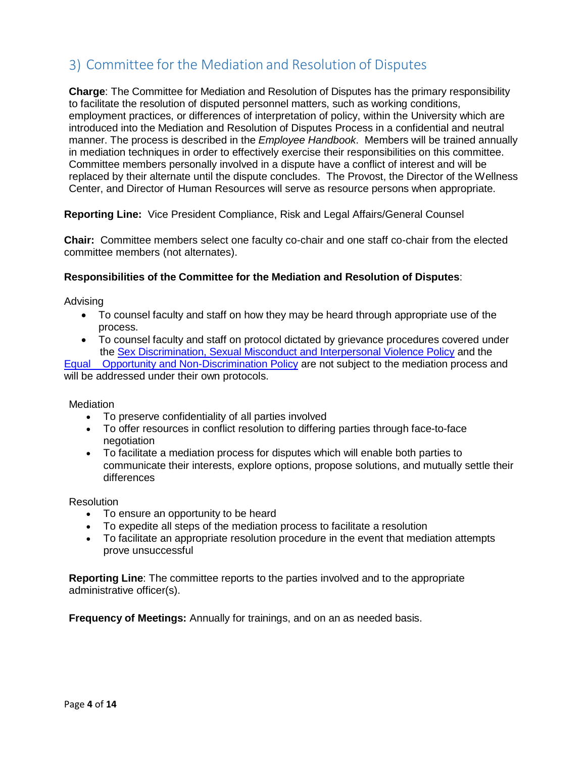# 3) Committee for the Mediation and Resolution of Disputes

**Charge**: The Committee for Mediation and Resolution of Disputes has the primary responsibility to facilitate the resolution of disputed personnel matters, such as working conditions, employment practices, or differences of interpretation of policy, within the University which are introduced into the Mediation and Resolution of Disputes Process in a confidential and neutral manner. The process is described in the *Employee Handbook*. Members will be trained annually in mediation techniques in order to effectively exercise their responsibilities on this committee. Committee members personally involved in a dispute have a conflict of interest and will be replaced by their alternate until the dispute concludes. The Provost, the Director of the Wellness Center, and Director of Human Resources will serve as resource persons when appropriate.

**Reporting Line:** Vice President Compliance, Risk and Legal Affairs/General Counsel

**Chair:** Committee members select one faculty co-chair and one staff co-chair from the elected committee members (not alternates).

#### **Responsibilities of the Committee for the Mediation and Resolution of Disputes**:

Advising

- To counsel faculty and staff on how they may be heard through appropriate use of the process.
- To counsel faculty and staff on protocol dictated by grievance procedures covered under the [Sex Discrimination, Sexual Misconduct and Interpersonal Violence Policy](https://mymount.msj.edu/ICS/icsfs/EEO_and_Non-Discrimination_Policy.pdf?target=2d68d9a6-90b7-4c5f-9b33-fdaae2189523) and the

[Equal Opportunity and Non-Discrimination Policy](https://mymount.msj.edu/ICS/icsfs/EEO_and_Non-Discrimination_Policy.pdf?target=2d68d9a6-90b7-4c5f-9b33-fdaae2189523) are not subject to the mediation process and will be addressed under their own protocols.

**Mediation** 

- To preserve confidentiality of all parties involved
- To offer resources in conflict resolution to differing parties through face-to-face negotiation
- To facilitate a mediation process for disputes which will enable both parties to communicate their interests, explore options, propose solutions, and mutually settle their differences

**Resolution** 

- To ensure an opportunity to be heard
- To expedite all steps of the mediation process to facilitate a resolution
- To facilitate an appropriate resolution procedure in the event that mediation attempts prove unsuccessful

**Reporting Line**: The committee reports to the parties involved and to the appropriate administrative officer(s).

**Frequency of Meetings:** Annually for trainings, and on an as needed basis.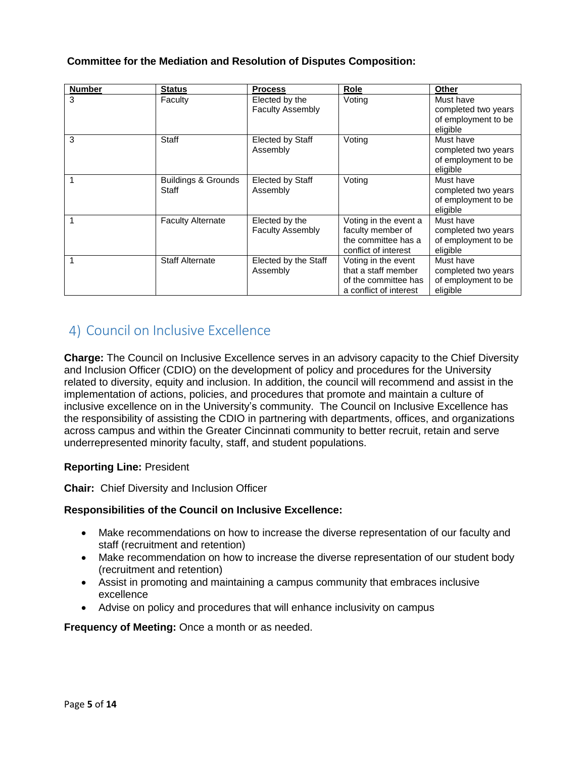#### **Committee for the Mediation and Resolution of Disputes Composition:**

| <b>Number</b> | <b>Status</b>                           | <b>Process</b>                            | Role                                                                                         | Other                                                               |
|---------------|-----------------------------------------|-------------------------------------------|----------------------------------------------------------------------------------------------|---------------------------------------------------------------------|
| 3             | Faculty                                 | Elected by the<br><b>Faculty Assembly</b> | Voting                                                                                       | Must have<br>completed two years<br>of employment to be<br>eligible |
| 3             | Staff                                   | Elected by Staff<br>Assembly              | Voting                                                                                       | Must have<br>completed two years<br>of employment to be<br>eligible |
|               | <b>Buildings &amp; Grounds</b><br>Staff | Elected by Staff<br>Assembly              | Voting                                                                                       | Must have<br>completed two years<br>of employment to be<br>eligible |
|               | <b>Faculty Alternate</b>                | Elected by the<br><b>Faculty Assembly</b> | Voting in the event a<br>faculty member of<br>the committee has a<br>conflict of interest    | Must have<br>completed two years<br>of employment to be<br>eligible |
|               | <b>Staff Alternate</b>                  | Elected by the Staff<br>Assembly          | Voting in the event<br>that a staff member<br>of the committee has<br>a conflict of interest | Must have<br>completed two years<br>of employment to be<br>eligible |

# 4) Council on Inclusive Excellence

**Charge:** The Council on Inclusive Excellence serves in an advisory capacity to the Chief Diversity and Inclusion Officer (CDIO) on the development of policy and procedures for the University related to diversity, equity and inclusion. In addition, the council will recommend and assist in the implementation of actions, policies, and procedures that promote and maintain a culture of inclusive excellence on in the University's community. The Council on Inclusive Excellence has the responsibility of assisting the CDIO in partnering with departments, offices, and organizations across campus and within the Greater Cincinnati community to better recruit, retain and serve underrepresented minority faculty, staff, and student populations.

#### **Reporting Line:** President

**Chair:** Chief Diversity and Inclusion Officer

#### **Responsibilities of the Council on Inclusive Excellence:**

- Make recommendations on how to increase the diverse representation of our faculty and staff (recruitment and retention)
- Make recommendation on how to increase the diverse representation of our student body (recruitment and retention)
- Assist in promoting and maintaining a campus community that embraces inclusive excellence
- Advise on policy and procedures that will enhance inclusivity on campus

**Frequency of Meeting: Once a month or as needed.**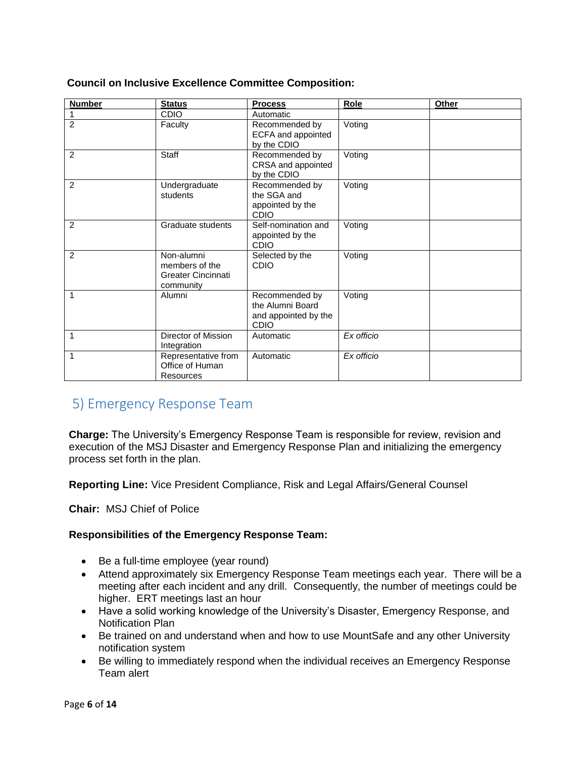#### **Council on Inclusive Excellence Committee Composition:**

| <b>Number</b>  | <b>Status</b>                                                          | <b>Process</b>                                                            | Role       | Other |
|----------------|------------------------------------------------------------------------|---------------------------------------------------------------------------|------------|-------|
|                | <b>CDIO</b>                                                            | Automatic                                                                 |            |       |
| $\overline{2}$ | Faculty                                                                | Recommended by<br>ECFA and appointed<br>by the CDIO                       | Voting     |       |
| $\overline{2}$ | Staff                                                                  | Recommended by<br>CRSA and appointed<br>by the CDIO                       | Voting     |       |
| 2              | Undergraduate<br>students                                              | Recommended by<br>the SGA and<br>appointed by the<br><b>CDIO</b>          | Voting     |       |
| 2              | Graduate students                                                      | Self-nomination and<br>appointed by the<br><b>CDIO</b>                    | Voting     |       |
| 2              | Non-alumni<br>members of the<br><b>Greater Cincinnati</b><br>community | Selected by the<br>CDIO                                                   | Voting     |       |
| 1              | Alumni                                                                 | Recommended by<br>the Alumni Board<br>and appointed by the<br><b>CDIO</b> | Voting     |       |
| 1              | Director of Mission<br>Integration                                     | Automatic                                                                 | Ex officio |       |
| 1              | Representative from<br>Office of Human<br>Resources                    | Automatic                                                                 | Ex officio |       |

## 5) Emergency Response Team

**Charge:** The University's Emergency Response Team is responsible for review, revision and execution of the MSJ Disaster and Emergency Response Plan and initializing the emergency process set forth in the plan.

**Reporting Line:** Vice President Compliance, Risk and Legal Affairs/General Counsel

**Chair:** MSJ Chief of Police

#### **Responsibilities of the Emergency Response Team:**

- Be a full-time employee (year round)
- Attend approximately six Emergency Response Team meetings each year. There will be a meeting after each incident and any drill. Consequently, the number of meetings could be higher. ERT meetings last an hour
- Have a solid working knowledge of the University's Disaster, Emergency Response, and Notification Plan
- Be trained on and understand when and how to use MountSafe and any other University notification system
- Be willing to immediately respond when the individual receives an Emergency Response Team alert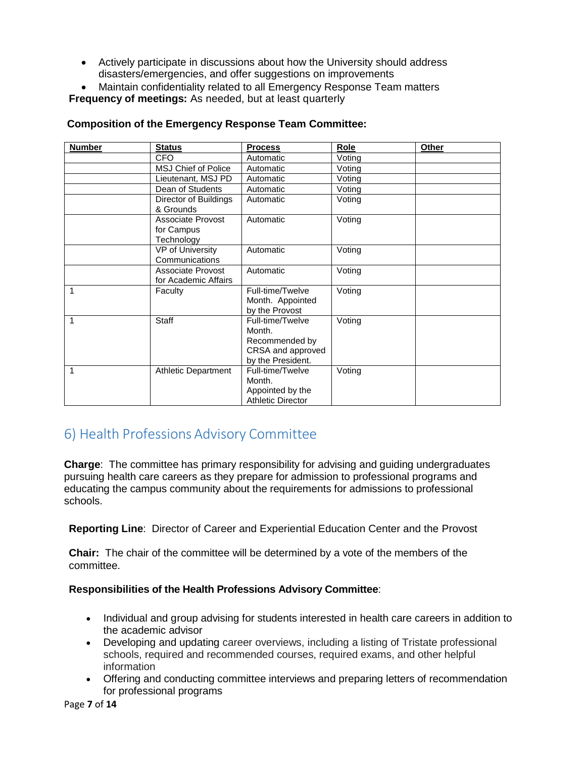Actively participate in discussions about how the University should address disasters/emergencies, and offer suggestions on improvements

 Maintain confidentiality related to all Emergency Response Team matters **Frequency of meetings:** As needed, but at least quarterly

| <b>Number</b> | <b>Status</b>                                        | <b>Process</b>                                                                         | Role   | Other |
|---------------|------------------------------------------------------|----------------------------------------------------------------------------------------|--------|-------|
|               | <b>CFO</b>                                           | Automatic                                                                              | Voting |       |
|               | <b>MSJ Chief of Police</b>                           | Automatic                                                                              | Voting |       |
|               | Lieutenant, MSJ PD                                   | Automatic                                                                              | Voting |       |
|               | Dean of Students                                     | Automatic                                                                              | Voting |       |
|               | Director of Buildings<br>& Grounds                   | Automatic                                                                              | Voting |       |
|               | <b>Associate Provost</b><br>for Campus<br>Technology | Automatic                                                                              | Voting |       |
|               | <b>VP of University</b><br>Communications            | Automatic                                                                              | Voting |       |
|               | <b>Associate Provost</b><br>for Academic Affairs     | Automatic                                                                              | Voting |       |
| 1             | Faculty                                              | Full-time/Twelve<br>Month. Appointed<br>by the Provost                                 | Voting |       |
| 1             | <b>Staff</b>                                         | Full-time/Twelve<br>Month.<br>Recommended by<br>CRSA and approved<br>by the President. | Voting |       |
| 1             | <b>Athletic Department</b>                           | Full-time/Twelve<br>Month.<br>Appointed by the<br><b>Athletic Director</b>             | Voting |       |

#### **Composition of the Emergency Response Team Committee:**

# 6) Health Professions Advisory Committee

**Charge**: The committee has primary responsibility for advising and guiding undergraduates pursuing health care careers as they prepare for admission to professional programs and educating the campus community about the requirements for admissions to professional schools.

**Reporting Line**: Director of Career and Experiential Education Center and the Provost

**Chair:** The chair of the committee will be determined by a vote of the members of the committee.

#### **Responsibilities of the Health Professions Advisory Committee**:

- Individual and group advising for students interested in health care careers in addition to the academic advisor
- Developing and updating career overviews, including a listing of Tristate professional schools, required and recommended courses, required exams, and other helpful information
- Offering and conducting committee interviews and preparing letters of recommendation for professional programs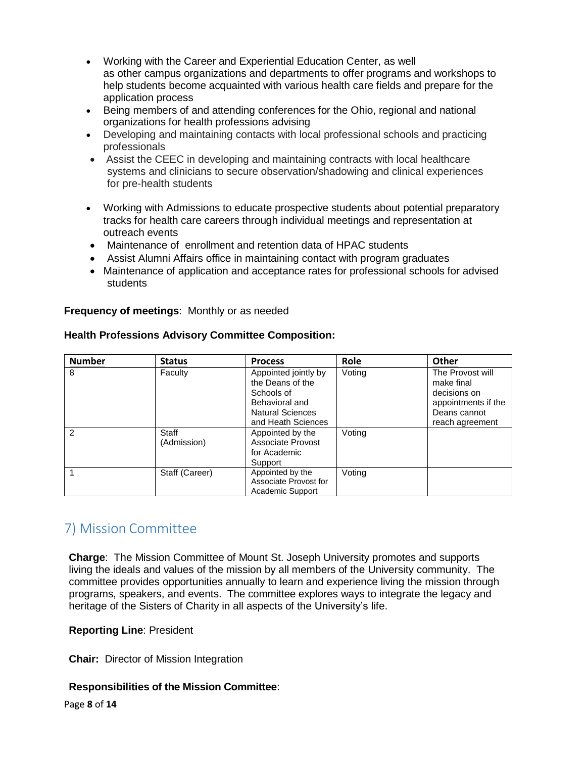- Working with the Career and Experiential Education Center, as well as other campus organizations and departments to offer programs and workshops to help students become acquainted with various health care fields and prepare for the application process
- Being members of and attending conferences for the Ohio, regional and national organizations for health professions advising
- Developing and maintaining contacts with local professional schools and practicing professionals
- Assist the CEEC in developing and maintaining contracts with local healthcare systems and clinicians to secure observation/shadowing and clinical experiences for pre-health students
- Working with Admissions to educate prospective students about potential preparatory tracks for health care careers through individual meetings and representation at outreach events
- Maintenance of enrollment and retention data of HPAC students
- Assist Alumni Affairs office in maintaining contact with program graduates
- Maintenance of application and acceptance rates for professional schools for advised students

**Frequency of meetings**: Monthly or as needed

| <b>Number</b> | <b>Status</b>        | <b>Process</b>                                                   | Role   | <b>Other</b>                                           |
|---------------|----------------------|------------------------------------------------------------------|--------|--------------------------------------------------------|
| 8             | Faculty              | Appointed jointly by<br>the Deans of the<br>Schools of           | Voting | The Provost will<br>make final<br>decisions on         |
|               |                      | Behavioral and<br><b>Natural Sciences</b><br>and Heath Sciences  |        | appointments if the<br>Deans cannot<br>reach agreement |
| $\mathcal{P}$ | Staff<br>(Admission) | Appointed by the<br>Associate Provost<br>for Academic<br>Support | Voting |                                                        |
|               | Staff (Career)       | Appointed by the<br>Associate Provost for<br>Academic Support    | Voting |                                                        |

#### **Health Professions Advisory Committee Composition:**

# 7) Mission Committee

**Charge**: The Mission Committee of Mount St. Joseph University promotes and supports living the ideals and values of the mission by all members of the University community. The committee provides opportunities annually to learn and experience living the mission through programs, speakers, and events. The committee explores ways to integrate the legacy and heritage of the Sisters of Charity in all aspects of the University's life.

#### **Reporting Line**: President

**Chair:** Director of Mission Integration

#### **Responsibilities of the Mission Committee**:

Page **8** of **14**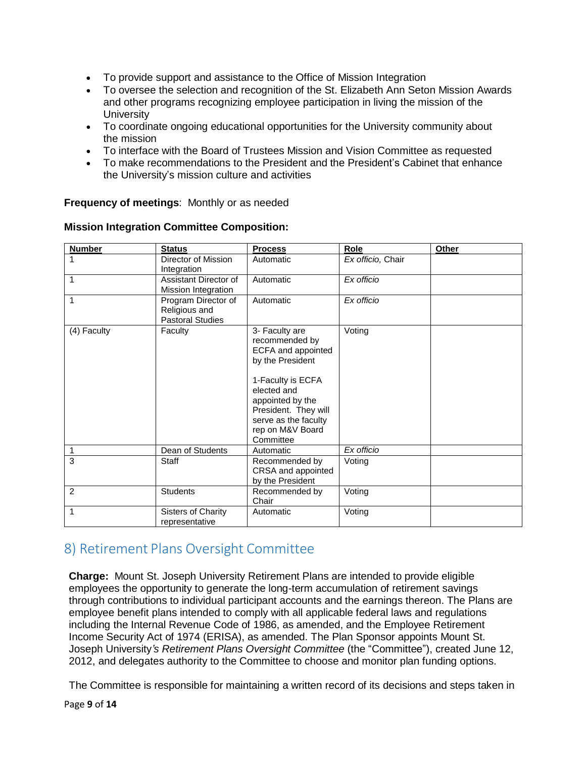- To provide support and assistance to the Office of Mission Integration
- To oversee the selection and recognition of the St. Elizabeth Ann Seton Mission Awards and other programs recognizing employee participation in living the mission of the **University**
- To coordinate ongoing educational opportunities for the University community about the mission
- To interface with the Board of Trustees Mission and Vision Committee as requested
- To make recommendations to the President and the President's Cabinet that enhance the University's mission culture and activities

**Frequency of meetings**: Monthly or as needed

|  |  |  | <b>Mission Integration Committee Composition:</b> |
|--|--|--|---------------------------------------------------|
|--|--|--|---------------------------------------------------|

| <b>Number</b>  | <b>Status</b>                                            | <b>Process</b>                                                                                                                                                                                                      | Role              | Other |
|----------------|----------------------------------------------------------|---------------------------------------------------------------------------------------------------------------------------------------------------------------------------------------------------------------------|-------------------|-------|
| $\mathbf{1}$   | Director of Mission<br>Integration                       | Automatic                                                                                                                                                                                                           | Ex officio, Chair |       |
| 1              | Assistant Director of<br>Mission Integration             | Automatic                                                                                                                                                                                                           | Ex officio        |       |
| 1              | Program Director of<br>Religious and<br>Pastoral Studies | Automatic                                                                                                                                                                                                           | Ex officio        |       |
| (4) Faculty    | Faculty                                                  | 3- Faculty are<br>recommended by<br>ECFA and appointed<br>by the President<br>1-Faculty is ECFA<br>elected and<br>appointed by the<br>President. They will<br>serve as the faculty<br>rep on M&V Board<br>Committee | Voting            |       |
| 1              | Dean of Students                                         | Automatic                                                                                                                                                                                                           | Ex officio        |       |
| 3              | Staff                                                    | Recommended by<br>CRSA and appointed<br>by the President                                                                                                                                                            | Voting            |       |
| $\overline{2}$ | <b>Students</b>                                          | Recommended by<br>Chair                                                                                                                                                                                             | Voting            |       |
| 1              | <b>Sisters of Charity</b><br>representative              | Automatic                                                                                                                                                                                                           | Voting            |       |

# 8) Retirement Plans Oversight Committee

**Charge:** Mount St. Joseph University Retirement Plans are intended to provide eligible employees the opportunity to generate the long-term accumulation of retirement savings through contributions to individual participant accounts and the earnings thereon. The Plans are employee benefit plans intended to comply with all applicable federal laws and regulations including the Internal Revenue Code of 1986, as amended, and the Employee Retirement Income Security Act of 1974 (ERISA), as amended. The Plan Sponsor appoints Mount St. Joseph University*'s Retirement Plans Oversight Committee* (the "Committee"), created June 12, 2012, and delegates authority to the Committee to choose and monitor plan funding options.

The Committee is responsible for maintaining a written record of its decisions and steps taken in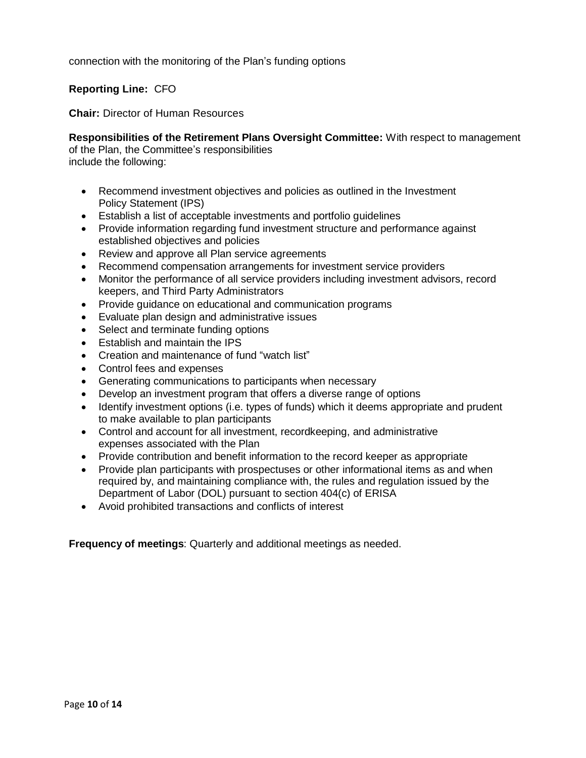connection with the monitoring of the Plan's funding options

#### **Reporting Line:** CFO

**Chair:** Director of Human Resources

**Responsibilities of the Retirement Plans Oversight Committee:** With respect to management of the Plan, the Committee's responsibilities include the following:

- Recommend investment objectives and policies as outlined in the Investment Policy Statement (IPS)
- Establish a list of acceptable investments and portfolio guidelines
- Provide information regarding fund investment structure and performance against established objectives and policies
- Review and approve all Plan service agreements
- Recommend compensation arrangements for investment service providers
- Monitor the performance of all service providers including investment advisors, record keepers, and Third Party Administrators
- Provide guidance on educational and communication programs
- Evaluate plan design and administrative issues
- Select and terminate funding options
- Establish and maintain the IPS
- Creation and maintenance of fund "watch list"
- Control fees and expenses
- Generating communications to participants when necessary
- Develop an investment program that offers a diverse range of options
- Identify investment options (i.e. types of funds) which it deems appropriate and prudent to make available to plan participants
- Control and account for all investment, recordkeeping, and administrative expenses associated with the Plan
- Provide contribution and benefit information to the record keeper as appropriate
- Provide plan participants with prospectuses or other informational items as and when required by, and maintaining compliance with, the rules and regulation issued by the Department of Labor (DOL) pursuant to section 404(c) of ERISA
- Avoid prohibited transactions and conflicts of interest

**Frequency of meetings**: Quarterly and additional meetings as needed.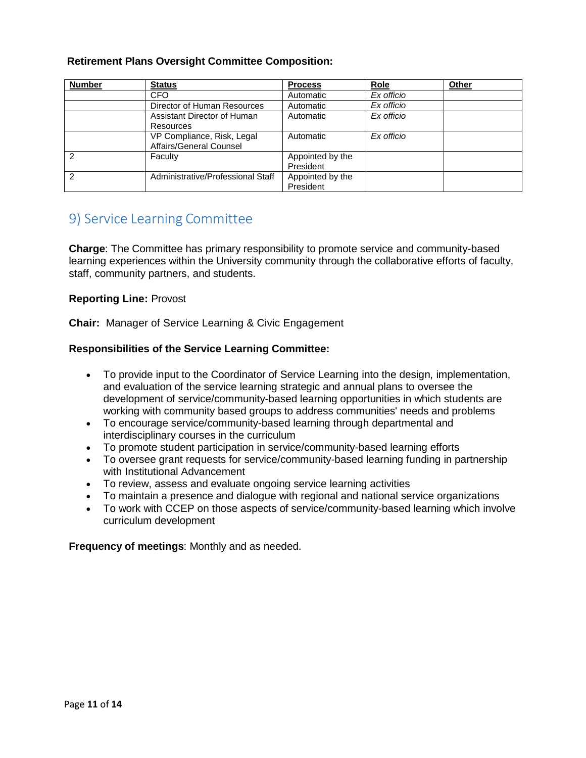#### **Retirement Plans Oversight Committee Composition:**

| <b>Number</b> | <b>Status</b>                     | <b>Process</b>   | Role                    | Other |
|---------------|-----------------------------------|------------------|-------------------------|-------|
|               | CFO.                              | Automatic        | Ex officio              |       |
|               | Director of Human Resources       | Automatic        | $\overline{Ex}$ officio |       |
|               | Assistant Director of Human       | Automatic        | Ex officio              |       |
|               | Resources                         |                  |                         |       |
|               | VP Compliance, Risk, Legal        | Automatic        | Ex officio              |       |
|               | Affairs/General Counsel           |                  |                         |       |
| 2             | Faculty                           | Appointed by the |                         |       |
|               |                                   | President        |                         |       |
| っ             | Administrative/Professional Staff | Appointed by the |                         |       |
|               |                                   | President        |                         |       |

# 9) Service Learning Committee

**Charge**: The Committee has primary responsibility to promote service and community-based learning experiences within the University community through the collaborative efforts of faculty, staff, community partners, and students.

#### **Reporting Line:** Provost

**Chair:** Manager of Service Learning & Civic Engagement

#### **Responsibilities of the Service Learning Committee:**

- To provide input to the Coordinator of Service Learning into the design, implementation, and evaluation of the service learning strategic and annual plans to oversee the development of service/community-based learning opportunities in which students are working with community based groups to address communities' needs and problems
- To encourage service/community-based learning through departmental and interdisciplinary courses in the curriculum
- To promote student participation in service/community-based learning efforts
- To oversee grant requests for service/community-based learning funding in partnership with Institutional Advancement
- To review, assess and evaluate ongoing service learning activities
- To maintain a presence and dialogue with regional and national service organizations
- To work with CCEP on those aspects of service/community-based learning which involve curriculum development

**Frequency of meetings**: Monthly and as needed.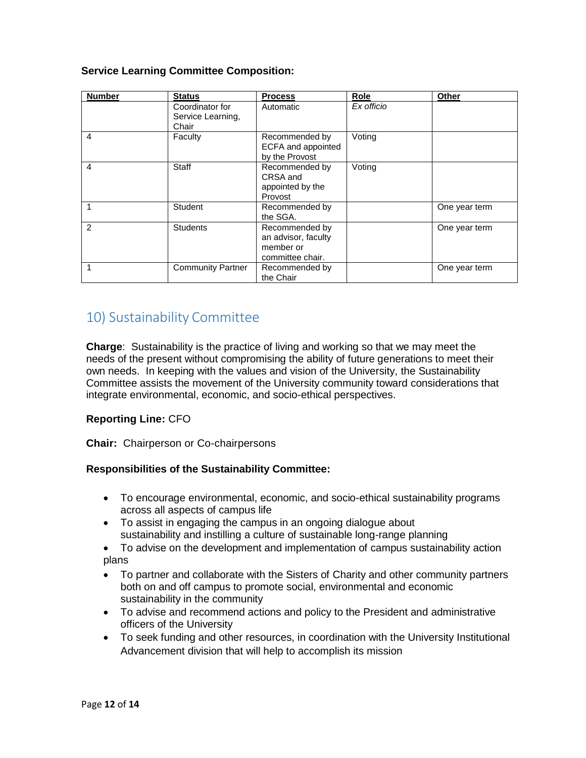#### **Service Learning Committee Composition:**

| <b>Number</b> | <b>Status</b>                                 | <b>Process</b>                                                         | <b>Role</b> | Other         |
|---------------|-----------------------------------------------|------------------------------------------------------------------------|-------------|---------------|
|               | Coordinator for<br>Service Learning,<br>Chair | Automatic                                                              | Ex officio  |               |
| 4             | Faculty                                       | Recommended by<br>ECFA and appointed<br>by the Provost                 | Voting      |               |
| 4             | Staff                                         | Recommended by<br>CRSA and<br>appointed by the<br>Provost              | Voting      |               |
|               | Student                                       | Recommended by<br>the SGA.                                             |             | One year term |
| 2             | <b>Students</b>                               | Recommended by<br>an advisor, faculty<br>member or<br>committee chair. |             | One year term |
|               | <b>Community Partner</b>                      | Recommended by<br>the Chair                                            |             | One year term |

# 10) Sustainability Committee

**Charge**: Sustainability is the practice of living and working so that we may meet the needs of the present without compromising the ability of future generations to meet their own needs. In keeping with the values and vision of the University, the Sustainability Committee assists the movement of the University community toward considerations that integrate environmental, economic, and socio-ethical perspectives.

#### **Reporting Line:** CFO

**Chair:** Chairperson or Co-chairpersons

#### **Responsibilities of the Sustainability Committee:**

- To encourage environmental, economic, and socio-ethical sustainability programs across all aspects of campus life
- To assist in engaging the campus in an ongoing dialogue about sustainability and instilling a culture of sustainable long-range planning
- To advise on the development and implementation of campus sustainability action plans
- To partner and collaborate with the Sisters of Charity and other community partners both on and off campus to promote social, environmental and economic sustainability in the community
- To advise and recommend actions and policy to the President and administrative officers of the University
- To seek funding and other resources, in coordination with the University Institutional Advancement division that will help to accomplish its mission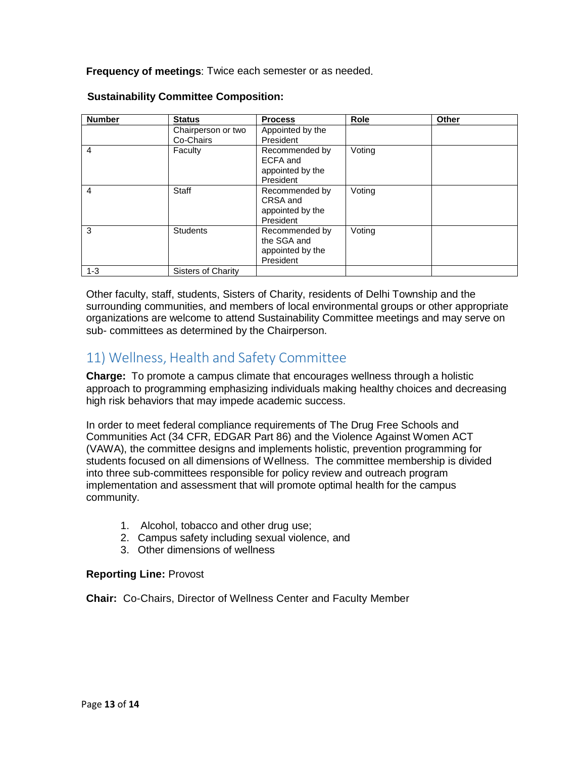**Frequency of meetings**: Twice each semester or as needed.

| <b>Number</b>  | <b>Status</b>                   | <b>Process</b>                                                 | Role   | Other |
|----------------|---------------------------------|----------------------------------------------------------------|--------|-------|
|                | Chairperson or two<br>Co-Chairs | Appointed by the<br>President                                  |        |       |
| 4              | Faculty                         | Recommended by<br>ECFA and<br>appointed by the<br>President    | Voting |       |
| $\overline{4}$ | Staff                           | Recommended by<br>CRSA and<br>appointed by the<br>President    | Voting |       |
| 3              | <b>Students</b>                 | Recommended by<br>the SGA and<br>appointed by the<br>President | Voting |       |
| $1 - 3$        | Sisters of Charity              |                                                                |        |       |

#### **Sustainability Committee Composition:**

Other faculty, staff, students, Sisters of Charity, residents of Delhi Township and the surrounding communities, and members of local environmental groups or other appropriate organizations are welcome to attend Sustainability Committee meetings and may serve on sub- committees as determined by the Chairperson.

# 11) Wellness, Health and Safety Committee

**Charge:** To promote a campus climate that encourages wellness through a holistic approach to programming emphasizing individuals making healthy choices and decreasing high risk behaviors that may impede academic success.

In order to meet federal compliance requirements of The Drug Free Schools and Communities Act (34 CFR, EDGAR Part 86) and the Violence Against Women ACT (VAWA), the committee designs and implements holistic, prevention programming for students focused on all dimensions of Wellness. The committee membership is divided into three sub-committees responsible for policy review and outreach program implementation and assessment that will promote optimal health for the campus community.

- 1. Alcohol, tobacco and other drug use;
- 2. Campus safety including sexual violence, and
- 3. Other dimensions of wellness

#### **Reporting Line:** Provost

**Chair:** Co-Chairs, Director of Wellness Center and Faculty Member